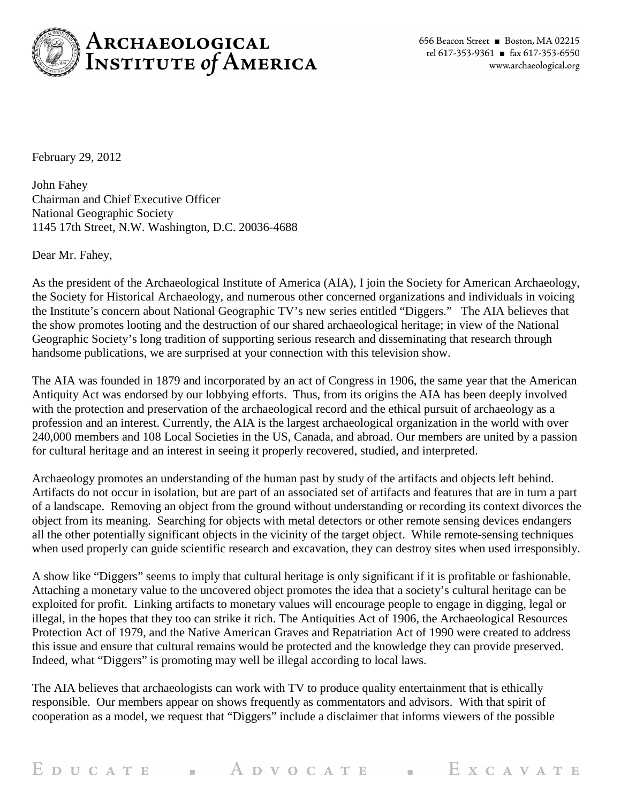

February 29, 2012

John Fahey Chairman and Chief Executive Officer National Geographic Society 1145 17th Street, N.W. Washington, D.C. 20036-4688

Dear Mr. Fahey,

As the president of the Archaeological Institute of America (AIA), I join the Society for American Archaeology, the Society for Historical Archaeology, and numerous other concerned organizations and individuals in voicing the Institute's concern about National Geographic TV's new series entitled "Diggers." The AIA believes that the show promotes looting and the destruction of our shared archaeological heritage; in view of the National Geographic Society's long tradition of supporting serious research and disseminating that research through handsome publications, we are surprised at your connection with this television show.

The AIA was founded in 1879 and incorporated by an act of Congress in 1906, the same year that the American Antiquity Act was endorsed by our lobbying efforts. Thus, from its origins the AIA has been deeply involved with the protection and preservation of the archaeological record and the ethical pursuit of archaeology as a profession and an interest. Currently, the AIA is the largest archaeological organization in the world with over 240,000 members and 108 Local Societies in the US, Canada, and abroad. Our members are united by a passion for cultural heritage and an interest in seeing it properly recovered, studied, and interpreted.

Archaeology promotes an understanding of the human past by study of the artifacts and objects left behind. Artifacts do not occur in isolation, but are part of an associated set of artifacts and features that are in turn a part of a landscape. Removing an object from the ground without understanding or recording its context divorces the object from its meaning. Searching for objects with metal detectors or other remote sensing devices endangers all the other potentially significant objects in the vicinity of the target object. While remote-sensing techniques when used properly can guide scientific research and excavation, they can destroy sites when used irresponsibly.

A show like "Diggers" seems to imply that cultural heritage is only significant if it is profitable or fashionable. Attaching a monetary value to the uncovered object promotes the idea that a society's cultural heritage can be exploited for profit. Linking artifacts to monetary values will encourage people to engage in digging, legal or illegal, in the hopes that they too can strike it rich. The Antiquities Act of 1906, the Archaeological Resources Protection Act of 1979, and the Native American Graves and Repatriation Act of 1990 were created to address this issue and ensure that cultural remains would be protected and the knowledge they can provide preserved. Indeed, what "Diggers" is promoting may well be illegal according to local laws.

The AIA believes that archaeologists can work with TV to produce quality entertainment that is ethically responsible. Our members appear on shows frequently as commentators and advisors. With that spirit of cooperation as a model, we request that "Diggers" include a disclaimer that informs viewers of the possible